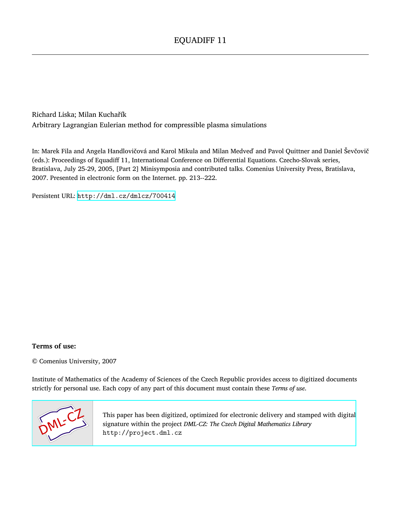Richard Liska; Milan Kuchařík Arbitrary Lagrangian Eulerian method for compressible plasma simulations

In: Marek Fila and Angela Handlovičová and Karol Mikula and Milan Medveď and Pavol Quittner and Daniel Ševčovič (eds.): Proceedings of Equadiff 11, International Conference on Differential Equations. Czecho-Slovak series, Bratislava, July 25-29, 2005, [Part 2] Minisymposia and contributed talks. Comenius University Press, Bratislava, 2007. Presented in electronic form on the Internet. pp. 213--222.

Persistent URL: <http://dml.cz/dmlcz/700414>

# **Terms of use:**

© Comenius University, 2007

Institute of Mathematics of the Academy of Sciences of the Czech Republic provides access to digitized documents strictly for personal use. Each copy of any part of this document must contain these *Terms of use*.



[This paper has been digitized, optimized for electronic delivery and stamped with digital](http://project.dml.cz) signature within the project *DML-CZ: The Czech Digital Mathematics Library* http://project.dml.cz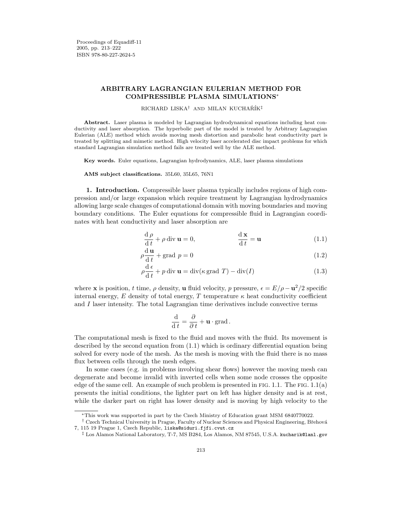## ARBITRARY LAGRANGIAN EULERIAN METHOD FOR COMPRESSIBLE PLASMA SIMULATIONS<sup>∗</sup>

#### RICHARD LISKA<sup>†</sup> AND MILAN KUCHAŘÍK<sup>‡</sup>

Abstract. Laser plasma is modeled by Lagrangian hydrodynamical equations including heat conductivity and laser absorption. The hyperbolic part of the model is treated by Arbitrary Lagrangian Eulerian (ALE) method which avoids moving mesh distortion and parabolic heat conductivity part is treated by splitting and mimetic method. High velocity laser accelerated disc impact problems for which standard Lagrangian simulation method fails are treated well by the ALE method.

Key words. Euler equations, Lagrangian hydrodynamics, ALE, laser plasma simulations

AMS subject classifications. 35L60, 35L65, 76N1

1. Introduction. Compressible laser plasma typically includes regions of high compression and/or large expansion which require treatment by Lagrangian hydrodynamics allowing large scale changes of computational domain with moving boundaries and moving boundary conditions. The Euler equations for compressible fluid in Lagrangian coordinates with heat conductivity and laser absorption are

$$
\frac{\mathrm{d}\,\rho}{\mathrm{d}\,t} + \rho \,\mathrm{div}\,\mathbf{u} = 0, \qquad \frac{\mathrm{d}\,\mathbf{x}}{\mathrm{d}\,t} = \mathbf{u} \tag{1.1}
$$

<span id="page-1-0"></span>
$$
\rho \frac{\mathrm{d}\,\mathbf{u}}{\mathrm{d}\,t} + \text{grad}\,p = 0\tag{1.2}
$$

$$
\rho \frac{\mathrm{d}\,\epsilon}{\mathrm{d}\,t} + p \,\mathrm{div}\,\mathbf{u} = \mathrm{div}(\kappa \,\mathrm{grad}\,T) - \mathrm{div}(I) \tag{1.3}
$$

where **x** is position, t time,  $\rho$  density, **u** fluid velocity, p pressure,  $\epsilon = E/\rho - \mathbf{u}^2/2$  specific internal energy, E density of total energy, T temperature  $\kappa$  heat conductivity coefficient and  $I$  laser intensity. The total Lagrangian time derivatives include convective terms

$$
\frac{\mathrm{d}}{\mathrm{d}t} = \frac{\partial}{\partial t} + \mathbf{u} \cdot \text{grad}.
$$

The computational mesh is fixed to the fluid and moves with the fluid. Its movement is described by the second equation from [\(1.1\)](#page-1-0) which is ordinary differential equation being solved for every node of the mesh. As the mesh is moving with the fluid there is no mass flux between cells through the mesh edges.

In some cases (e.g. in problems involving shear flows) however the moving mesh can degenerate and become invalid with inverted cells when some node crosses the opposite edge of the same cell. An example of such problem is presented in FIG. [1.1.](#page-2-0) The FIG. [1.1\(](#page-2-0)a) presents the initial conditions, the lighter part on left has higher density and is at rest, while the darker part on right has lower density and is moving by high velocity to the

<sup>∗</sup>This work was supported in part by the Czech Ministry of Education grant MSM 6840770022.

<sup>&</sup>lt;sup>†</sup> Czech Technical University in Prague, Faculty of Nuclear Sciences and Physical Engineering, Břehová 7, 115 19 Prague 1, Czech Republic, liska@siduri.fjfi.cvut.cz

<sup>‡</sup> Los Alamos National Laboratory, T-7, MS B284, Los Alamos, NM 87545, U.S.A. kucharik@lanl.gov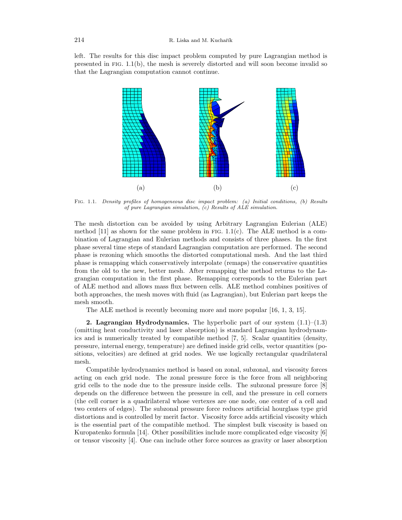left. The results for this disc impact problem computed by pure Lagrangian method is presented in FIG.  $1.1(b)$  $1.1(b)$ , the mesh is severely distorted and will soon become invalid so that the Lagrangian computation cannot continue.



<span id="page-2-0"></span>Fig. 1.1. Density profiles of homogeneous disc impact problem: (a) Initial conditions, (b) Results of pure Lagrangian simulation, (c) Results of ALE simulation.

The mesh distortion can be avoided by using Arbitrary Lagrangian Eulerian (ALE) method [\[11\]](#page-10-0) as shown for the same problem in FIG.  $1.1(c)$  $1.1(c)$ . The ALE method is a combination of Lagrangian and Eulerian methods and consists of three phases. In the first phase several time steps of standard Lagrangian computation are performed. The second phase is rezoning which smooths the distorted computational mesh. And the last third phase is remapping which conservatively interpolate (remaps) the conservative quantities from the old to the new, better mesh. After remapping the method returns to the Lagrangian computation in the first phase. Remapping corresponds to the Eulerian part of ALE method and allows mass flux between cells. ALE method combines positives of both approaches, the mesh moves with fluid (as Lagrangian), but Eulerian part keeps the mesh smooth.

The ALE method is recently becoming more and more popular [\[16,](#page-10-1) [1,](#page-10-2) [3,](#page-10-3) [15\]](#page-10-4).

**2. Lagrangian Hydrodynamics.** The hyperbolic part of our system  $(1.1)$ – $(1.3)$ (omitting heat conductivity and laser absorption) is standard Lagrangian hydrodynamics and is numerically treated by compatible method [\[7,](#page-10-5) [5\]](#page-10-6). Scalar quantities (density, pressure, internal energy, temperature) are defined inside grid cells, vector quantities (positions, velocities) are defined at grid nodes. We use logically rectangular quadrilateral mesh.

Compatible hydrodynamics method is based on zonal, subzonal, and viscosity forces acting on each grid node. The zonal pressure force is the force from all neighboring grid cells to the node due to the pressure inside cells. The subzonal pressure force [\[8\]](#page-10-7) depends on the difference between the pressure in cell, and the pressure in cell corners (the cell corner is a quadrilateral whose vertexes are one node, one center of a cell and two centers of edges). The subzonal pressure force reduces artificial hourglass type grid distortions and is controlled by merit factor. Viscosity force adds artificial viscosity which is the essential part of the compatible method. The simplest bulk viscosity is based on Kuropatenko formula [\[14\]](#page-10-8). Other possibilities include more complicated edge viscosity [\[6\]](#page-10-9) or tensor viscosity [\[4\]](#page-10-10). One can include other force sources as gravity or laser absorption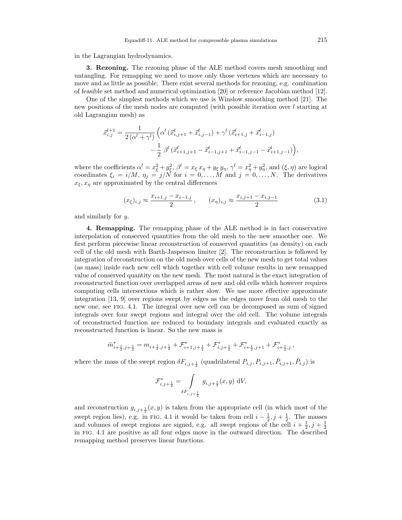in the Lagrangian hydrodynamics.

3. Rezoning. The rezoning phase of the ALE method covers mesh smoothing and untangling. For remapping we need to move only those vertexes which are necessary to move and as little as possible. There exist several methods for rezoning, e.g. combination of feasible set method and numerical optimization [\[20\]](#page-10-11) or reference Jacobian method [\[12\]](#page-10-12).

One of the simplest methods which we use is Winslow smoothing method [\[21\]](#page-10-13). The new positions of the mesh nodes are computed (with possible iteration over l starting at old Lagrangian mesh) as

$$
\begin{split} \vec{x}_{i,j}^{l+1} &= \frac{1}{2 \left(\alpha^{l} + \gamma^{l} \right)} \left(\alpha^{l} \left(\vec{x}_{i,j+1}^{l} + \vec{x}_{i,j-1}^{l} \right) + \gamma^{l} \left(\vec{x}_{i+1,j}^{l} + \vec{x}_{i-1,j}^{l} \right) \right. \\ & \qquad \qquad \left. - \frac{1}{2} \; \beta^{l} \left(\vec{x}_{i+1,j+1}^{l} - \vec{x}_{i-1,j+1}^{l} + \vec{x}_{i-1,j-1}^{l} - \vec{x}_{i+1,j-1}^{l} \right) \right), \end{split}
$$

where the coefficients  $\alpha^l = x_{\xi}^2 + y_{\xi}^2$ ,  $\beta^l = x_{\xi} x_{\eta} + y_{\xi} y_{\eta}$ ,  $\gamma^l = x_{\eta}^2 + y_{\eta}^2$ , and  $(\xi, \eta)$  are logical coordinates  $\xi_i = i/M$ ,  $\eta_j = j/N$  for  $i = 0, ..., M$  and  $j = 0, ..., N$ . The derivatives  $x_{\xi}, x_{\eta}$  are approximated by the central differences

$$
(x_{\xi})_{i,j} \approx \frac{x_{i+1,j} - x_{i-1,j}}{2}, \qquad (x_{\eta})_{i,j} \approx \frac{x_{i,j+1} - x_{i,j-1}}{2}
$$
 (3.1)

and similarly for y.

4. Remapping. The remapping phase of the ALE method is in fact conservative interpolation of conserved quantities from the old mesh to the new smoother one. We first perform piecewise linear reconstruction of conserved quantities (as density) on each cell of the old mesh with Barth-Jasperson limiter [\[2\]](#page-10-14). The reconstruction is followed by integration of reconstruction on the old mesh over cells of the new mesh to get total values (as mass) inside each new cell which together with cell volume results in new remapped value of conserved quantity on the new mesh. The most natural is the exact integration of reconstructed function over overlapped areas of new and old cells which however requires computing cells intersections which is rather slow. We use more effective approximate integration [\[13,](#page-10-15) [9\]](#page-10-16) over regions swept by edges as the edges move from old mesh to the new one, see fig. [4.1.](#page-2-0) The integral over new cell can be decomposed as sum of signed integrals over four swept regions and integral over the old cell. The volume integrals of reconstructed function are reduced to boundary integrals and evaluated exactly as reconstructed function is linear. So the new mass is

$$
\tilde{m}_{i+\frac{1}{2},j+\frac{1}{2}}^*=m_{i+\frac{1}{2},j+\frac{1}{2}}+\mathcal{F}_{i+1,j+\frac{1}{2}}^*+\mathcal{F}_{i,j+\frac{1}{2}}^*+\mathcal{F}_{i+\frac{1}{2},j+1}^*+\mathcal{F}_{i+\frac{1}{2},j}^*\,,
$$

where the mass of the swept region  $\delta F_{i,j+\frac{1}{2}}$  (quadrilateral  $P_{i,j}, P_{i,j+1}, \tilde{P}_{i,j+1}, \tilde{P}_{i,j}$ ) is

$$
\mathcal{F}_{i,j+\frac{1}{2}}^* = \int\limits_{\delta F_{i,j+\frac{1}{2}}} g_{i,j+\frac{1}{2}}(x,y) \, \mathrm{d}V,
$$

and reconstruction  $g_{i,j+\frac{1}{2}}(x,y)$  is taken from the appropriate cell (in which most of the swept region lies), e.g. in FIG. [4.1](#page-2-0) it would be taken from cell  $i - \frac{1}{2}, j + \frac{1}{2}$ . The masses and volumes of swept regions are signed, e.g. all swept regions of the cell  $i + \frac{1}{2}, j + \frac{1}{2}$ in fig. [4.1](#page-2-0) are positive as all four edges move in the outward direction. The described remapping method preserves linear functions.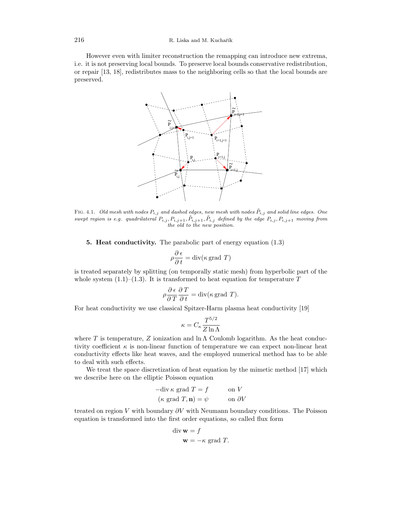However even with limiter reconstruction the remapping can introduce new extrema, i.e. it is not preserving local bounds. To preserve local bounds conservative redistribution, or repair [\[13,](#page-10-15) [18\]](#page-10-17), redistributes mass to the neighboring cells so that the local bounds are preserved.



FIG. 4.1. Old mesh with nodes  $P_{i,j}$  and dashed edges, new mesh with nodes  $\tilde{P}_{i,j}$  and solid line edges. One swept region is e.g. quadrilateral  $P_{i,j}, P_{i,j+1}, \tilde{P}_{i,j+1}, \tilde{P}_{i,j}$  defined by the edge  $P_{i,j}, P_{i,j+1}$  moving from the old to the new position.

5. Heat conductivity. The parabolic part of energy equation [\(1.3\)](#page-1-0)

$$
\rho \frac{\partial \epsilon}{\partial t} = \text{div}(\kappa \text{ grad } T)
$$

is treated separately by splitting (on temporally static mesh) from hyperbolic part of the whole system  $(1.1)$ – $(1.3)$ . It is transformed to heat equation for temperature T

$$
\rho \frac{\partial \epsilon}{\partial T} \frac{\partial T}{\partial t} = \text{div}(\kappa \text{ grad } T).
$$

For heat conductivity we use classical Spitzer-Harm plasma heat conductivity [\[19\]](#page-10-18)

$$
\kappa = C_\kappa \frac{T^{5/2}}{Z \ln \Lambda}
$$

where T is temperature, Z ionization and  $\ln \Lambda$  Coulomb logarithm. As the heat conductivity coefficient  $\kappa$  is non-linear function of temperature we can expect non-linear heat conductivity effects like heat waves, and the employed numerical method has to be able to deal with such effects.

We treat the space discretization of heat equation by the mimetic method [\[17\]](#page-10-19) which we describe here on the elliptic Poisson equation

$$
-div \kappa \text{ grad } T = f \qquad \text{on } V
$$

$$
(\kappa \text{ grad } T, \mathbf{n}) = \psi \qquad \text{on } \partial V
$$

treated on region V with boundary  $\partial V$  with Neumann boundary conditions. The Poisson equation is transformed into the first order equations, so called flux form

div 
$$
\mathbf{w} = f
$$
  
 $\mathbf{w} = -\kappa$  grad *T*.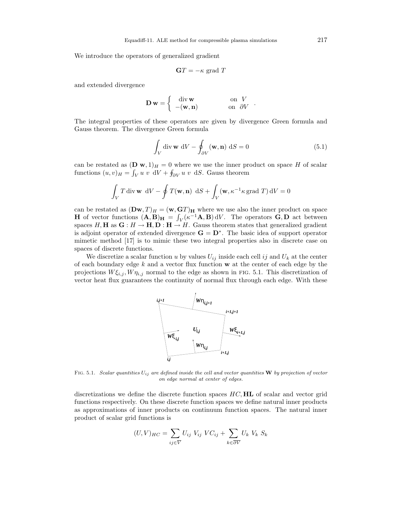We introduce the operators of generalized gradient

$$
\mathbf{G}T = -\kappa \text{ grad }T
$$

and extended divergence

$$
\mathbf{D}\,\mathbf{w} = \left\{ \begin{array}{ll} \text{div}\,\mathbf{w} & \text{on } V \\ -(\mathbf{w}, \mathbf{n}) & \text{on } \partial V \end{array} \right. .
$$

The integral properties of these operators are given by divergence Green formula and Gauss theorem. The divergence Green formula

<span id="page-5-0"></span>
$$
\int_{V} \operatorname{div} \mathbf{w} \, dV - \oint_{\partial V} (\mathbf{w}, \mathbf{n}) \, dS = 0 \tag{5.1}
$$

can be restated as  $(D \mathbf{w}, 1)_H = 0$  where we use the inner product on space H of scalar functions  $(u, v)_H = \int_V u v \, dV + \oint_{\partial V} u v \, dS$ . Gauss theorem

$$
\int_{V} T \operatorname{div} \mathbf{w} \, dV - \oint T(\mathbf{w}, \mathbf{n}) \, dS + \int_{V} (\mathbf{w}, \kappa^{-1} \kappa \operatorname{grad} T) dV = 0
$$

can be restated as  $(Dw, T)<sub>H</sub> = (w, GT)<sub>H</sub>$  where we use also the inner product on space **H** of vector functions  $(A, B)_{H} = \int_{V} (\kappa^{-1}A, B) dV$ . The operators **G**, **D** act between spaces  $H, H$  as  $G: H \to H, D: H \to H$ . Gauss theorem states that generalized gradient is adjoint operator of extended divergence  $\mathbf{G} = \mathbf{D}^*$ . The basic idea of support operator mimetic method [\[17\]](#page-10-19) is to mimic these two integral properties also in discrete case on spaces of discrete functions.

We discretize a scalar function u by values  $U_{ij}$  inside each cell ij and  $U_k$  at the center of each boundary edge  $k$  and a vector flux function  $\bf{w}$  at the center of each edge by the projections  $W \xi_{i,j}$ ,  $W \eta_{i,j}$  normal to the edge as shown in FIG. [5.1.](#page-2-0) This discretization of vector heat flux guarantees the continuity of normal flux through each edge. With these



FIG. 5.1. Scalar quantities  $U_{ij}$  are defined inside the cell and vector quantities **W** by projection of vector on edge normal at center of edges.

discretizations we define the discrete function spaces  $HC$ ,  $HL$  of scalar and vector grid functions respectively. On these discrete function spaces we define natural inner products as approximations of inner products on continuum function spaces. The natural inner product of scalar grid functions is

$$
(U,V)_{HC} = \sum_{ij \in \overline{V}} U_{ij} V_{ij} V C_{ij} + \sum_{k \in \overline{\partial V}} U_k V_k S_k
$$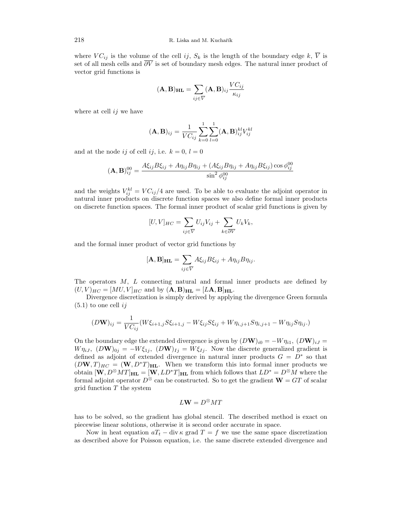where  $VC_{ij}$  is the volume of the cell ij,  $S_k$  is the length of the boundary edge k,  $\overline{V}$  is set of all mesh cells and  $\overline{\partial V}$  is set of boundary mesh edges. The natural inner product of vector grid functions is

$$
(\mathbf{A}, \mathbf{B})_{\mathbf{H}\mathbf{L}} = \sum_{ij \in \overline{V}} (\mathbf{A}, \mathbf{B})_{ij} \frac{V C_{ij}}{\kappa_{ij}}
$$

where at cell  $ij$  we have

$$
(\mathbf{A}, \mathbf{B})_{ij} = \frac{1}{VC_{ij}} \sum_{k=0}^{1} \sum_{l=0}^{1} (\mathbf{A}, \mathbf{B})_{ij}^{kl} V_{ij}^{kl}
$$

and at the node ij of cell ij, i.e.  $k = 0, l = 0$ 

$$
(\mathbf{A}, \mathbf{B})_{ij}^{00} = \frac{A\xi_{ij}B\xi_{ij} + A\eta_{ij}B\eta_{ij} + (A\xi_{ij}B\eta_{ij} + A\eta_{ij}B\xi_{ij})\cos\phi_{ij}^{00}}{\sin^2\phi_{ij}^{00}}
$$

and the weights  $V_{ij}^{kl} = V C_{ij}/4$  are used. To be able to evaluate the adjoint operator in natural inner products on discrete function spaces we also define formal inner products on discrete function spaces. The formal inner product of scalar grid functions is given by

$$
[U,V]_{HC} = \sum_{ij \in \overline{V}} U_{ij} V_{ij} + \sum_{k \in \overline{\partial V}} U_k V_k,
$$

and the formal inner product of vector grid functions by

$$
[\mathbf{A},\mathbf{B}]_{\mathbf{HL}} = \sum_{ij \in \overline{V}} A\xi_{ij} B\xi_{ij} + A\eta_{ij} B\eta_{ij}.
$$

The operators M, L connecting natural and formal inner products are defined by  $(U, V)_{HC} = [MU, V]_{HC}$  and by  $(\mathbf{A}, \mathbf{B})_{HL} = [L\mathbf{A}, \mathbf{B}]_{HL}$ .

Divergence discretization is simply derived by applying the divergence Green formula  $(5.1)$  to one cell ij

$$
(D\mathbf{W})_{ij} = \frac{1}{VC_{ij}}(W\xi_{i+1,j}S\xi_{i+1,j} - W\xi_{ij}S\xi_{ij} + W\eta_{i,j+1}S\eta_{i,j+1} - W\eta_{ij}S\eta_{ij}.)
$$

On the boundary edge the extended divergence is given by  $(D\mathbf{W})_{i0} = -W\eta_{i1}$ ,  $(D\mathbf{W})_{iJ} =$  $W \eta_{iJ}$ ,  $(D\mathbf{W})_{0j} = -W \xi_{1j}$ ,  $(D\mathbf{W})_{Ij} = W \xi_{Ij}$ . Now the discrete generalized gradient is defined as adjoint of extended divergence in natural inner products  $G = D^*$  so that  $(DW, T)_{HC} = (W, D^*T)_{HL}$ . When we transform this into formal inner products we obtain  $[\mathbf{W}, D^{\otimes}MT]_{\mathbf{HL}} = [\mathbf{W}, LD^*T]_{\mathbf{HL}}$  from which follows that  $LD^* = D^{\otimes}M$  where the formal adjoint operator  $D^{\otimes}$  can be constructed. So to get the gradient  $\mathbf{W} = GT$  of scalar  $grid$  function  $T$  the system

$$
L{\bf W} = D^\otimes M T
$$

has to be solved, so the gradient has global stencil. The described method is exact on piecewise linear solutions, otherwise it is second order accurate in space.

Now in heat equation  $aT_t - \text{div} \kappa$  grad  $T = f$  we use the same space discretization as described above for Poisson equation, i.e. the same discrete extended divergence and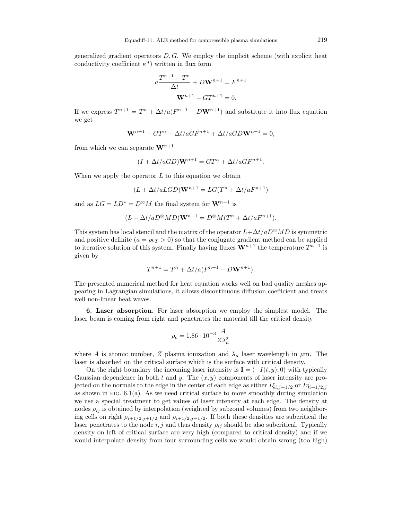generalized gradient operators  $D, G$ . We employ the implicit scheme (with explicit heat conductivity coefficient  $\kappa^n$ ) written in flux form

$$
a\frac{T^{n+1} - T^n}{\Delta t} + D\mathbf{W}^{n+1} = F^{n+1}
$$

$$
\mathbf{W}^{n+1} - GT^{n+1} = 0.
$$

If we express  $T^{n+1} = T^n + \Delta t/a(F^{n+1} - D\mathbf{W}^{n+1})$  and substitute it into flux equation we get

$$
\mathbf{W}^{n+1} - GT^n - \Delta t / aGF^{n+1} + \Delta t / aGD \mathbf{W}^{n+1} = 0,
$$

from which we can separate  $\mathbf{W}^{n+1}$ 

$$
(I + \Delta t/aGD)\mathbf{W}^{n+1} = GT^n + \Delta t/aGF^{n+1}.
$$

When we apply the operator  $L$  to this equation we obtain

$$
(L + \Delta t / aLGD)\mathbf{W}^{n+1} = LG(T^n + \Delta t / aF^{n+1})
$$

and as  $LG = LD^* = D^{\otimes}M$  the final system for  $\mathbf{W}^{n+1}$  is

$$
(L + \Delta t/aD^{\otimes}MD)\mathbf{W}^{n+1} = D^{\otimes}M(T^{n} + \Delta t/aF^{n+1}).
$$

This system has local stencil and the matrix of the operator  $L+\Delta t/aD^{\otimes}MD$  is symmetric and positive definite  $(a = \rho \epsilon_T > 0)$  so that the conjugate gradient method can be applied to iterative solution of this system. Finally having fluxes  $\mathbf{W}^{n+1}$  the temperature  $T^{n+1}$  is given by

$$
T^{n+1} = T^n + \Delta t / a (F^{n+1} - D \mathbf{W}^{n+1}).
$$

The presented numerical method for heat equation works well on bad quality meshes appearing in Lagrangian simulations, it allows discontinuous diffusion coefficient and treats well non-linear heat waves.

6. Laser absorption. For laser absorption we employ the simplest model. The laser beam is coming from right and penetrates the material till the critical density

$$
\rho_c = 1.86 \cdot 10^{-3} \frac{A}{Z \lambda_\mu^2}
$$

where A is atomic number, Z plasma ionization and  $\lambda_{\mu}$  laser wavelength in  $\mu$ m. The laser is absorbed on the critical surface which is the surface with critical density.

On the right boundary the incoming laser intensity is  $\mathbf{I} = (-I(t, y), 0)$  with typically Gaussian dependence in both t and y. The  $(x, y)$  components of laser intensity are projected on the normals to the edge in the center of each edge as either  $I\xi_{i,j+1/2}$  or  $I\eta_{i+1/2,j}$ as shown in FIG.  $6.1(a)$  $6.1(a)$ . As we need critical surface to move smoothly during simulation we use a special treatment to get values of laser intensity at each edge. The density at nodes  $\rho_{ij}$  is obtained by interpolation (weighted by subzonal volumes) from two neighboring cells on right  $\rho_{i+1/2,j+1/2}$  and  $\rho_{i+1/2,j-1/2}$ . If both these densities are subcritical the laser penetrates to the node i, j and thus density  $\rho_{ij}$  should be also subcritical. Typically density on left of critical surface are very high (compared to critical density) and if we would interpolate density from four surrounding cells we would obtain wrong (too high)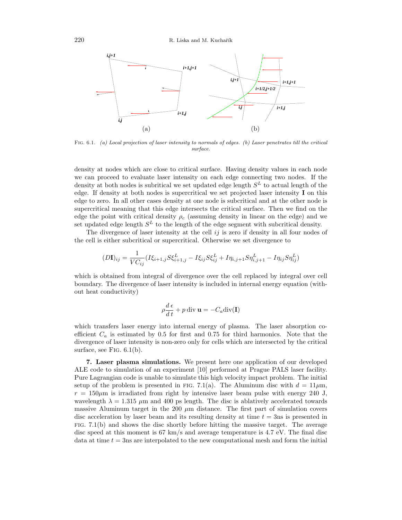

Fig. 6.1. (a) Local projection of laser intensity to normals of edges. (b) Laser penetrates till the critical surface.

density at nodes which are close to critical surface. Having density values in each node we can proceed to evaluate laser intensity on each edge connecting two nodes. If the density at both nodes is subritical we set updated edge length  $S<sup>L</sup>$  to actual length of the edge. If density at both nodes is supercritical we set projected laser intensity I on this edge to zero. In all other cases density at one node is subcritical and at the other node is supercritical meaning that this edge intersects the critical surface. Then we find on the edge the point with critical density  $\rho_c$  (assuming density in linear on the edge) and we set updated edge length  $S<sup>L</sup>$  to the length of the edge segment with subcritical density.

The divergence of laser intensity at the cell  $ij$  is zero if density in all four nodes of the cell is either subcritical or supercritical. Otherwise we set divergence to

$$
(D\mathbf{I})_{ij} = \frac{1}{VC_{ij}} (I\xi_{i+1,j} S\xi_{i+1,j}^L - I\xi_{ij} S\xi_{ij}^L + I\eta_{i,j+1} S\eta_{i,j+1}^L - I\eta_{ij} S\eta_{ij}^L)
$$

which is obtained from integral of divergence over the cell replaced by integral over cell boundary. The divergence of laser intensity is included in internal energy equation (without heat conductivity)

$$
\rho \frac{d\,\epsilon}{d\,t} + p \operatorname{div} \mathbf{u} = -C_a \operatorname{div}(\mathbf{I})
$$

which transfers laser energy into internal energy of plasma. The laser absorption coefficient  $C_a$  is estimated by 0.5 for first and 0.75 for third harmonics. Note that the divergence of laser intensity is non-zero only for cells which are intersected by the critical surface, see FIG.  $6.1(b)$  $6.1(b)$ .

7. Laser plasma simulations. We present here one application of our developed ALE code to simulation of an experiment [\[10\]](#page-10-20) performed at Prague PALS laser facility. Pure Lagrangian code is unable to simulate this high velocity impact problem. The initial setup of the problem is presented in FIG. [7.1\(](#page-2-0)a). The Aluminum disc with  $d = 11 \mu$ m,  $r = 150 \mu m$  is irradiated from right by intensive laser beam pulse with energy 240 J, wavelength  $\lambda = 1.315 \mu m$  and 400 ps length. The disc is ablatively accelerated towards massive Aluminum target in the 200  $\mu$ m distance. The first part of simulation covers disc acceleration by laser beam and its resulting density at time  $t = 3$ ns is presented in  $FIG. 7.1(b)$  $FIG. 7.1(b)$  $FIG. 7.1(b)$  and shows the disc shortly before hitting the massive target. The average disc speed at this moment is 67 km/s and average temperature is 4.7 eV. The final disc data at time  $t = 3$ ns are interpolated to the new computational mesh and form the initial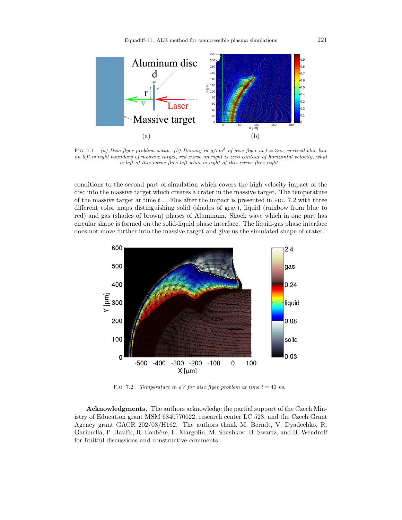

FIG. 7.1. (a) Disc flyer problem setup. (b) Density in  $g/cm^3$  of disc flyer at  $t = 3ns$ , vertical blue line on left is right boundary of massive target, red curve on right is zero contour of horizontal velocity, what is left of this curve flies left what is right of this curve flies right.

conditions to the second part of simulation which covers the high velocity impact of the disc into the massive target which creates a crater in the massive target. The temperature of the massive target at time  $t = 40$ ns after the impact is presented in FIG. [7.2](#page-9-0) with three different color maps distinguishing solid (shades of gray), liquid (rainbow from blue to red) and gas (shades of brown) phases of Aluminum. Shock wave which in one part has circular shape is formed on the solid-liquid phase interface. The liquid-gas phase interface does not move further into the massive target and give us the simulated shape of crater.



<span id="page-9-0"></span>FIG. 7.2. Temperature in eV for disc flyer problem at time  $t = 40$  ns.

Acknowledgments. The authors acknowledge the partial support of the Czech Ministry of Education grant MSM 6840770022, research center LC 528, and the Czech Grant Agency grant GACR 202/03/H162. The authors thank M. Berndt, V. Dyadechko, R. Garimella, P. Havlík, R. Loubère, L. Margolin, M. Shashkov, B. Swartz, and B. Wendroff for fruitful discussions and constructive comments.